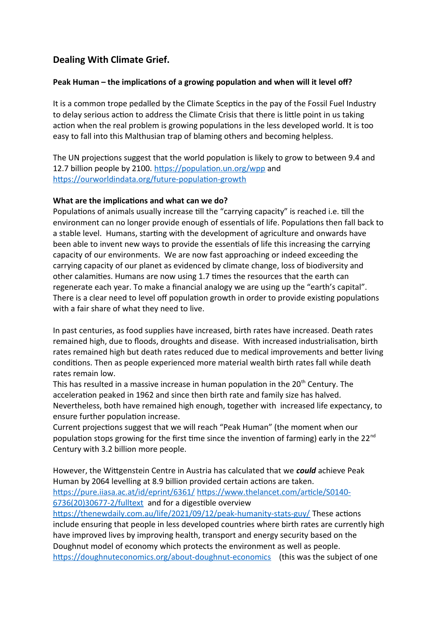# **Dealing With Climate Grief.**

## **Peak Human – the implications of a growing population and when will it level off?**

It is a common trope pedalled by the Climate Sceptics in the pay of the Fossil Fuel Industry to delay serious action to address the Climate Crisis that there is little point in us taking action when the real problem is growing populations in the less developed world. It is too easy to fall into this Malthusian trap of blaming others and becoming helpless.

The UN projections suggest that the world population is likely to grow to between 9.4 and 12.7 billion people by 2100. <https://population.un.org/wpp>and <https://ourworldindata.org/future-population-growth>

## **What are the implications and what can we do?**

Populations of animals usually increase till the "carrying capacity" is reached i.e. till the environment can no longer provide enough of essentials of life. Populations then fall back to a stable level. Humans, starting with the development of agriculture and onwards have been able to invent new ways to provide the essentials of life this increasing the carrying capacity of our environments. We are now fast approaching or indeed exceeding the carrying capacity of our planet as evidenced by climate change, loss of biodiversity and other calamities. Humans are now using 1.7 times the resources that the earth can regenerate each year. To make a financial analogy we are using up the "earth's capital". There is a clear need to level off population growth in order to provide existing populations with a fair share of what they need to live.

In past centuries, as food supplies have increased, birth rates have increased. Death rates remained high, due to floods, droughts and disease. With increased industrialisation, birth rates remained high but death rates reduced due to medical improvements and better living conditions. Then as people experienced more material wealth birth rates fall while death rates remain low.

This has resulted in a massive increase in human population in the  $20<sup>th</sup>$  Century. The acceleration peaked in 1962 and since then birth rate and family size has halved. Nevertheless, both have remained high enough, together with increased life expectancy, to ensure further population increase.

Current projections suggest that we will reach "Peak Human" (the moment when our population stops growing for the first time since the invention of farming) early in the 22<sup>nd</sup> Century with 3.2 billion more people.

However, the Wittgenstein Centre in Austria has calculated that we *could* achieve Peak Human by 2064 levelling at 8.9 billion provided certain actions are taken.

<https://pure.iiasa.ac.at/id/eprint/6361/> [https://www.thelancet.com/article/S0140-](https://www.thelancet.com/article/S0140-6736(20)30677-2/fulltext) [6736\(20\)30677-2/fulltext](https://www.thelancet.com/article/S0140-6736(20)30677-2/fulltext) and for a digestible overview

<https://thenewdaily.com.au/life/2021/09/12/peak-humanity-stats-guy/> These actions include ensuring that people in less developed countries where birth rates are currently high have improved lives by improving health, transport and energy security based on the Doughnut model of economy which protects the environment as well as people. <https://doughnuteconomics.org/about-doughnut-economics>(this was the subject of one